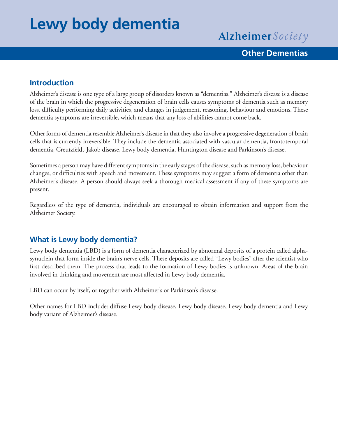# **Lewy body dementia**

Alzheimer Society

# **Other Dementias**

### **Introduction**

Alzheimer's disease is one type of a large group of disorders known as "dementias." Alzheimer's disease is a disease of the brain in which the progressive degeneration of brain cells causes symptoms of dementia such as memory loss, difficulty performing daily activities, and changes in judgement, reasoning, behaviour and emotions. These dementia symptoms are irreversible, which means that any loss of abilities cannot come back.

Other forms of dementia resemble Alzheimer's disease in that they also involve a progressive degeneration of brain cells that is currently irreversible. They include the dementia associated with vascular dementia, frontotemporal dementia, Creutzfeldt-Jakob disease, Lewy body dementia, Huntington disease and Parkinson's disease.

Sometimes a person may have different symptoms in the early stages of the disease, such as memory loss, behaviour changes, or difficulties with speech and movement. These symptoms may suggest a form of dementia other than Alzheimer's disease. A person should always seek a thorough medical assessment if any of these symptoms are present.

Regardless of the type of dementia, individuals are encouraged to obtain information and support from the Alzheimer Society.

# **What is Lewy body dementia?**

Lewy body dementia (LBD) is a form of dementia characterized by abnormal deposits of a protein called alphasynuclein that form inside the brain's nerve cells. These deposits are called "Lewy bodies" after the scientist who first described them. The process that leads to the formation of Lewy bodies is unknown. Areas of the brain involved in thinking and movement are most affected in Lewy body dementia.

LBD can occur by itself, or together with Alzheimer's or Parkinson's disease.

Other names for LBD include: diffuse Lewy body disease, Lewy body disease, Lewy body dementia and Lewy body variant of Alzheimer's disease.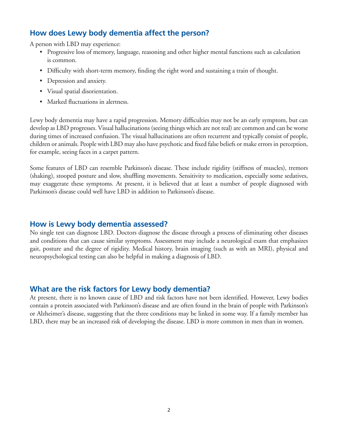## **How does Lewy body dementia affect the person?**

A person with LBD may experience:

- • Progressive loss of memory, language, reasoning and other higher mental functions such as calculation is common.
- Difficulty with short-term memory, finding the right word and sustaining a train of thought.
- Depression and anxiety.
- • Visual spatial disorientation.
- Marked fluctuations in alertness.

Lewy body dementia may have a rapid progression. Memory difficulties may not be an early symptom, but can develop as LBD progresses. Visual hallucinations (seeing things which are not real) are common and can be worse during times of increased confusion. The visual hallucinations are often recurrent and typically consist of people, children or animals. People with LBD may also have psychotic and fixed false beliefs or make errors in perception, for example, seeing faces in a carpet pattern.

Some features of LBD can resemble Parkinson's disease. These include rigidity (stiffness of muscles), tremors (shaking), stooped posture and slow, shuffling movements. Sensitivity to medication, especially some sedatives, may exaggerate these symptoms. At present, it is believed that at least a number of people diagnosed with Parkinson's disease could well have LBD in addition to Parkinson's disease.

#### **How is Lewy body dementia assessed?**

No single test can diagnose LBD. Doctors diagnose the disease through a process of eliminating other diseases and conditions that can cause similar symptoms. Assessment may include a neurological exam that emphasizes gait, posture and the degree of rigidity. Medical history, brain imaging (such as with an MRI), physical and neuropsychological testing can also be helpful in making a diagnosis of LBD.

#### **What are the risk factors for Lewy body dementia?**

At present, there is no known cause of LBD and risk factors have not been identified. However, Lewy bodies contain a protein associated with Parkinson's disease and are often found in the brain of people with Parkinson's or Alzheimer's disease, suggesting that the three conditions may be linked in some way. If a family member has LBD, there may be an increased risk of developing the disease. LBD is more common in men than in women.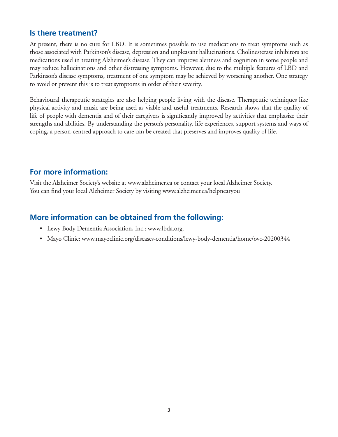#### **Is there treatment?**

At present, there is no cure for LBD. It is sometimes possible to use medications to treat symptoms such as those associated with Parkinson's disease, depression and unpleasant hallucinations. Cholinesterase inhibitors are medications used in treating Alzheimer's disease. They can improve alertness and cognition in some people and may reduce hallucinations and other distressing symptoms. However, due to the multiple features of LBD and Parkinson's disease symptoms, treatment of one symptom may be achieved by worsening another. One strategy to avoid or prevent this is to treat symptoms in order of their severity.

Behavioural therapeutic strategies are also helping people living with the disease. Therapeutic techniques like physical activity and music are being used as viable and useful treatments. Research shows that the quality of life of people with dementia and of their caregivers is significantly improved by activities that emphasize their strengths and abilities. By understanding the person's personality, life experiences, support systems and ways of coping, a person-centred approach to care can be created that preserves and improves quality of life.

#### **For more information:**

Visit the Alzheimer Society's website at www.alzheimer.ca or contact your local Alzheimer Society. You can find your local Alzheimer Society by visiting www.alzheimer.ca/helpnearyou

#### **More information can be obtained from the following:**

- Lewy Body Dementia Association, Inc.: www.lbda.org.
- Mayo Clinic: www.mayoclinic.org/diseases-conditions/lewy-body-dementia/home/ovc-20200344